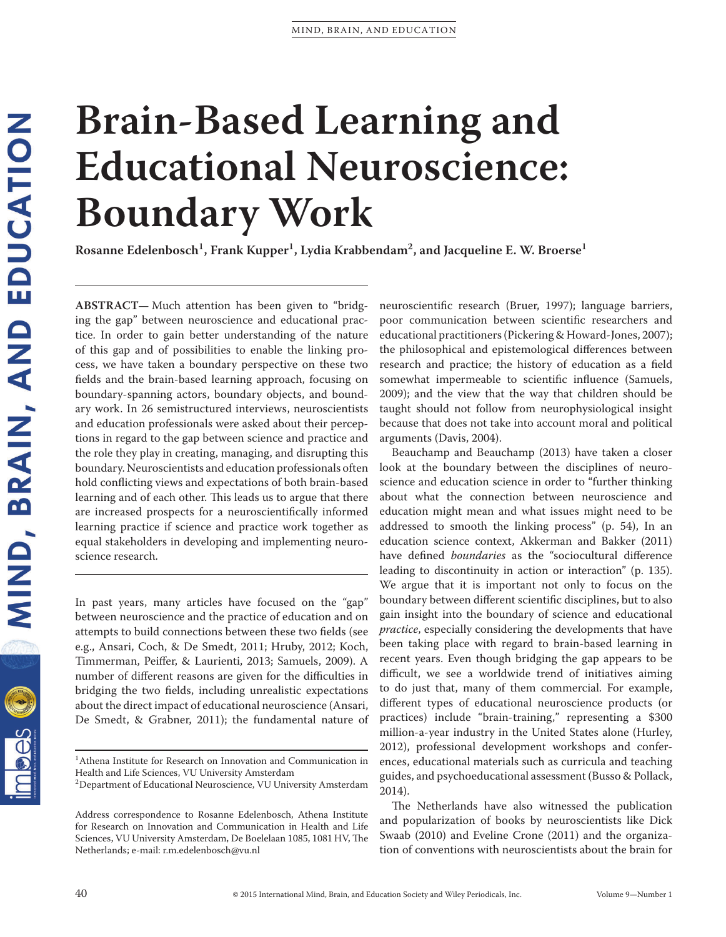# **Brain-Based Learning and Educational Neuroscience: Boundary Work**

Rosanne Edelenbosch<sup>1</sup>, Frank Kupper<sup>1</sup>, Lydia Krabbendam<sup>2</sup>, and Jacqueline E. W. Broerse<sup>1</sup>

**ABSTRACT—** Much attention has been given to "bridging the gap" between neuroscience and educational practice. In order to gain better understanding of the nature of this gap and of possibilities to enable the linking process, we have taken a boundary perspective on these two fields and the brain-based learning approach, focusing on boundary-spanning actors, boundary objects, and boundary work. In 26 semistructured interviews, neuroscientists and education professionals were asked about their perceptions in regard to the gap between science and practice and the role they play in creating, managing, and disrupting this boundary. Neuroscientists and education professionals often hold conflicting views and expectations of both brain-based learning and of each other. This leads us to argue that there are increased prospects for a neuroscientifically informed learning practice if science and practice work together as equal stakeholders in developing and implementing neuroscience research.

In past years, many articles have focused on the "gap" between neuroscience and the practice of education and on attempts to build connections between these two fields (see e.g., Ansari, Coch, & De Smedt, 2011; Hruby, 2012; Koch, Timmerman, Peiffer, & Laurienti, 2013; Samuels, 2009). A number of different reasons are given for the difficulties in bridging the two fields, including unrealistic expectations about the direct impact of educational neuroscience (Ansari, De Smedt, & Grabner, 2011); the fundamental nature of neuroscientific research (Bruer, 1997); language barriers, poor communication between scientific researchers and educational practitioners (Pickering & Howard-Jones, 2007); the philosophical and epistemological differences between research and practice; the history of education as a field somewhat impermeable to scientific influence (Samuels, 2009); and the view that the way that children should be taught should not follow from neurophysiological insight because that does not take into account moral and political arguments (Davis, 2004).

Beauchamp and Beauchamp (2013) have taken a closer look at the boundary between the disciplines of neuroscience and education science in order to "further thinking about what the connection between neuroscience and education might mean and what issues might need to be addressed to smooth the linking process" (p. 54), In an education science context, Akkerman and Bakker (2011) have defined *boundaries* as the "sociocultural difference leading to discontinuity in action or interaction" (p. 135). We argue that it is important not only to focus on the boundary between different scientific disciplines, but to also gain insight into the boundary of science and educational *practice*, especially considering the developments that have been taking place with regard to brain-based learning in recent years. Even though bridging the gap appears to be difficult, we see a worldwide trend of initiatives aiming to do just that, many of them commercial. For example, different types of educational neuroscience products (or practices) include "brain-training," representing a \$300 million-a-year industry in the United States alone (Hurley, 2012), professional development workshops and conferences, educational materials such as curricula and teaching guides, and psychoeducational assessment (Busso & Pollack, 2014).

The Netherlands have also witnessed the publication and popularization of books by neuroscientists like Dick Swaab (2010) and Eveline Crone (2011) and the organization of conventions with neuroscientists about the brain for



<sup>1</sup>Athena Institute for Research on Innovation and Communication in Health and Life Sciences, VU University Amsterdam

<sup>2</sup>Department of Educational Neuroscience, VU University Amsterdam

Address correspondence to Rosanne Edelenbosch, Athena Institute for Research on Innovation and Communication in Health and Life Sciences, VU University Amsterdam, De Boelelaan 1085, 1081 HV, The Netherlands; e-mail: r.m.edelenbosch@vu.nl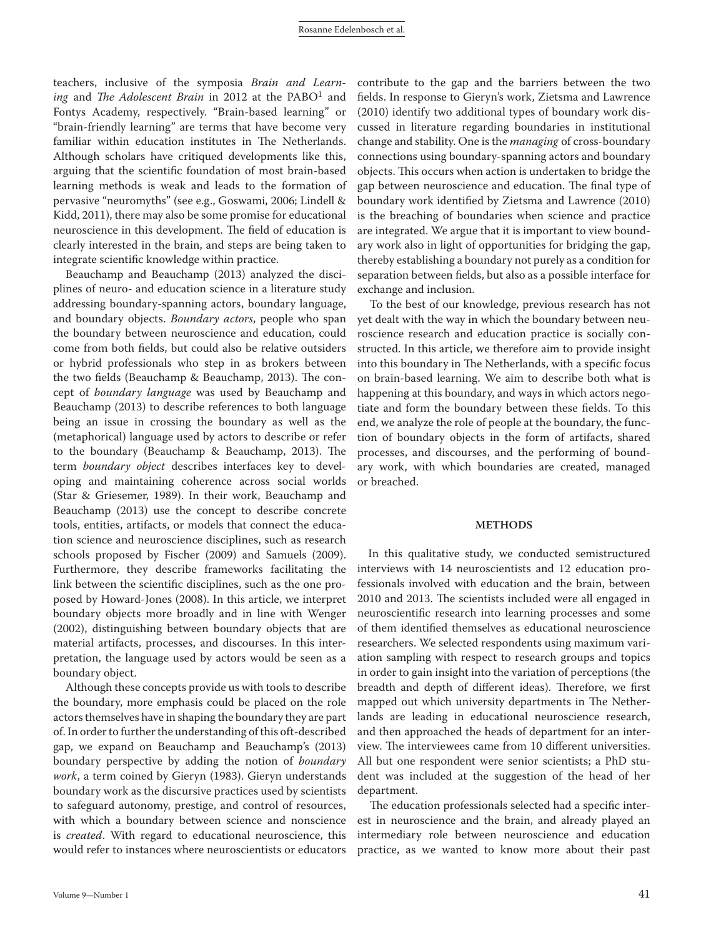teachers, inclusive of the symposia *Brain and Learning* and *The Adolescent Brain* in 2012 at the PABO<sup>1</sup> and Fontys Academy, respectively. "Brain-based learning" or "brain-friendly learning" are terms that have become very familiar within education institutes in The Netherlands. Although scholars have critiqued developments like this, arguing that the scientific foundation of most brain-based learning methods is weak and leads to the formation of pervasive "neuromyths" (see e.g., Goswami, 2006; Lindell & Kidd, 2011), there may also be some promise for educational neuroscience in this development. The field of education is clearly interested in the brain, and steps are being taken to integrate scientific knowledge within practice.

Beauchamp and Beauchamp (2013) analyzed the disciplines of neuro- and education science in a literature study addressing boundary-spanning actors, boundary language, and boundary objects. *Boundary actors*, people who span the boundary between neuroscience and education, could come from both fields, but could also be relative outsiders or hybrid professionals who step in as brokers between the two fields (Beauchamp & Beauchamp, 2013). The concept of *boundary language* was used by Beauchamp and Beauchamp (2013) to describe references to both language being an issue in crossing the boundary as well as the (metaphorical) language used by actors to describe or refer to the boundary (Beauchamp & Beauchamp, 2013). The term *boundary object* describes interfaces key to developing and maintaining coherence across social worlds (Star & Griesemer, 1989). In their work, Beauchamp and Beauchamp (2013) use the concept to describe concrete tools, entities, artifacts, or models that connect the education science and neuroscience disciplines, such as research schools proposed by Fischer (2009) and Samuels (2009). Furthermore, they describe frameworks facilitating the link between the scientific disciplines, such as the one proposed by Howard-Jones (2008). In this article, we interpret boundary objects more broadly and in line with Wenger (2002), distinguishing between boundary objects that are material artifacts, processes, and discourses. In this interpretation, the language used by actors would be seen as a boundary object.

Although these concepts provide us with tools to describe the boundary, more emphasis could be placed on the role actors themselves have in shaping the boundary they are part of. In order to further the understanding of this oft-described gap, we expand on Beauchamp and Beauchamp's (2013) boundary perspective by adding the notion of *boundary work*, a term coined by Gieryn (1983). Gieryn understands boundary work as the discursive practices used by scientists to safeguard autonomy, prestige, and control of resources, with which a boundary between science and nonscience is *created*. With regard to educational neuroscience, this would refer to instances where neuroscientists or educators

contribute to the gap and the barriers between the two fields. In response to Gieryn's work, Zietsma and Lawrence (2010) identify two additional types of boundary work discussed in literature regarding boundaries in institutional change and stability. One is the *managing* of cross-boundary connections using boundary-spanning actors and boundary objects. This occurs when action is undertaken to bridge the gap between neuroscience and education. The final type of boundary work identified by Zietsma and Lawrence (2010) is the breaching of boundaries when science and practice are integrated. We argue that it is important to view boundary work also in light of opportunities for bridging the gap, thereby establishing a boundary not purely as a condition for separation between fields, but also as a possible interface for exchange and inclusion.

To the best of our knowledge, previous research has not yet dealt with the way in which the boundary between neuroscience research and education practice is socially constructed. In this article, we therefore aim to provide insight into this boundary in The Netherlands, with a specific focus on brain-based learning. We aim to describe both what is happening at this boundary, and ways in which actors negotiate and form the boundary between these fields. To this end, we analyze the role of people at the boundary, the function of boundary objects in the form of artifacts, shared processes, and discourses, and the performing of boundary work, with which boundaries are created, managed or breached.

#### **METHODS**

In this qualitative study, we conducted semistructured interviews with 14 neuroscientists and 12 education professionals involved with education and the brain, between 2010 and 2013. The scientists included were all engaged in neuroscientific research into learning processes and some of them identified themselves as educational neuroscience researchers. We selected respondents using maximum variation sampling with respect to research groups and topics in order to gain insight into the variation of perceptions (the breadth and depth of different ideas). Therefore, we first mapped out which university departments in The Netherlands are leading in educational neuroscience research, and then approached the heads of department for an interview. The interviewees came from 10 different universities. All but one respondent were senior scientists; a PhD student was included at the suggestion of the head of her department.

The education professionals selected had a specific interest in neuroscience and the brain, and already played an intermediary role between neuroscience and education practice, as we wanted to know more about their past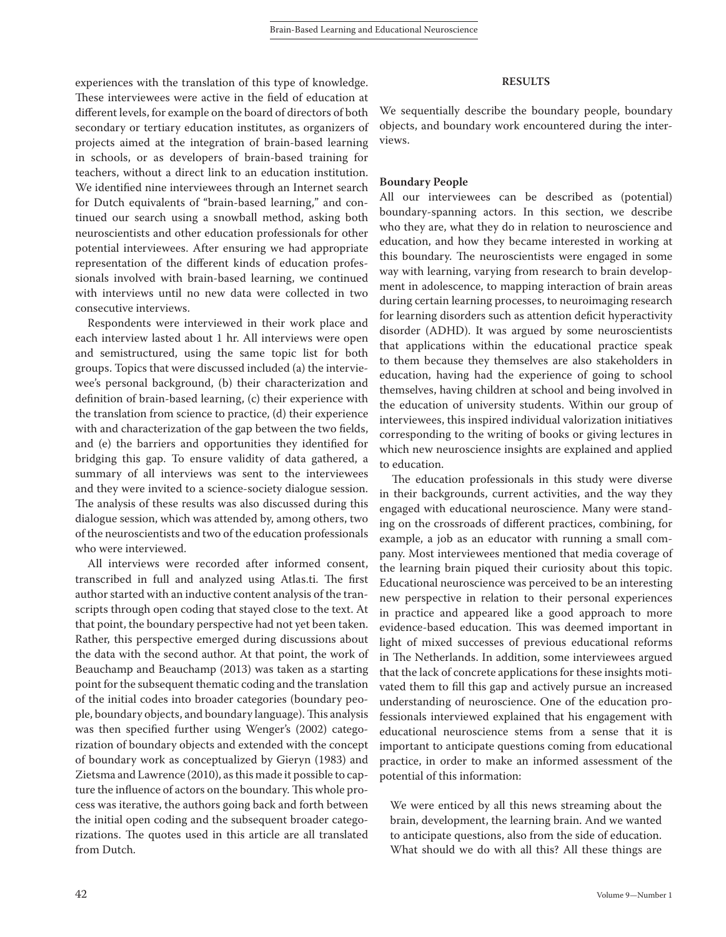experiences with the translation of this type of knowledge. These interviewees were active in the field of education at different levels, for example on the board of directors of both secondary or tertiary education institutes, as organizers of projects aimed at the integration of brain-based learning in schools, or as developers of brain-based training for teachers, without a direct link to an education institution. We identified nine interviewees through an Internet search for Dutch equivalents of "brain-based learning," and continued our search using a snowball method, asking both neuroscientists and other education professionals for other potential interviewees. After ensuring we had appropriate representation of the different kinds of education professionals involved with brain-based learning, we continued with interviews until no new data were collected in two consecutive interviews.

Respondents were interviewed in their work place and each interview lasted about 1 hr. All interviews were open and semistructured, using the same topic list for both groups. Topics that were discussed included (a) the interviewee's personal background, (b) their characterization and definition of brain-based learning, (c) their experience with the translation from science to practice, (d) their experience with and characterization of the gap between the two fields, and (e) the barriers and opportunities they identified for bridging this gap. To ensure validity of data gathered, a summary of all interviews was sent to the interviewees and they were invited to a science-society dialogue session. The analysis of these results was also discussed during this dialogue session, which was attended by, among others, two of the neuroscientists and two of the education professionals who were interviewed.

All interviews were recorded after informed consent, transcribed in full and analyzed using Atlas.ti. The first author started with an inductive content analysis of the transcripts through open coding that stayed close to the text. At that point, the boundary perspective had not yet been taken. Rather, this perspective emerged during discussions about the data with the second author. At that point, the work of Beauchamp and Beauchamp (2013) was taken as a starting point for the subsequent thematic coding and the translation of the initial codes into broader categories (boundary people, boundary objects, and boundary language).This analysis was then specified further using Wenger's (2002) categorization of boundary objects and extended with the concept of boundary work as conceptualized by Gieryn (1983) and Zietsma and Lawrence (2010), as this made it possible to capture the influence of actors on the boundary. This whole process was iterative, the authors going back and forth between the initial open coding and the subsequent broader categorizations. The quotes used in this article are all translated from Dutch.

### **RESULTS**

We sequentially describe the boundary people, boundary objects, and boundary work encountered during the interviews.

## **Boundary People**

All our interviewees can be described as (potential) boundary-spanning actors. In this section, we describe who they are, what they do in relation to neuroscience and education, and how they became interested in working at this boundary. The neuroscientists were engaged in some way with learning, varying from research to brain development in adolescence, to mapping interaction of brain areas during certain learning processes, to neuroimaging research for learning disorders such as attention deficit hyperactivity disorder (ADHD). It was argued by some neuroscientists that applications within the educational practice speak to them because they themselves are also stakeholders in education, having had the experience of going to school themselves, having children at school and being involved in the education of university students. Within our group of interviewees, this inspired individual valorization initiatives corresponding to the writing of books or giving lectures in which new neuroscience insights are explained and applied to education.

The education professionals in this study were diverse in their backgrounds, current activities, and the way they engaged with educational neuroscience. Many were standing on the crossroads of different practices, combining, for example, a job as an educator with running a small company. Most interviewees mentioned that media coverage of the learning brain piqued their curiosity about this topic. Educational neuroscience was perceived to be an interesting new perspective in relation to their personal experiences in practice and appeared like a good approach to more evidence-based education. This was deemed important in light of mixed successes of previous educational reforms in The Netherlands. In addition, some interviewees argued that the lack of concrete applications for these insights motivated them to fill this gap and actively pursue an increased understanding of neuroscience. One of the education professionals interviewed explained that his engagement with educational neuroscience stems from a sense that it is important to anticipate questions coming from educational practice, in order to make an informed assessment of the potential of this information:

We were enticed by all this news streaming about the brain, development, the learning brain. And we wanted to anticipate questions, also from the side of education. What should we do with all this? All these things are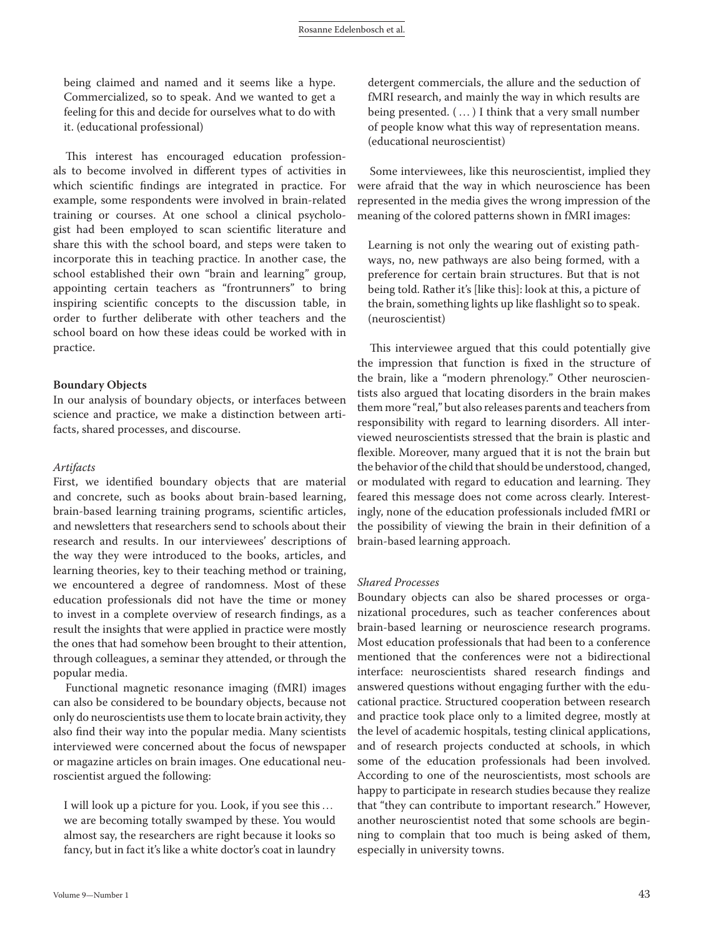being claimed and named and it seems like a hype. Commercialized, so to speak. And we wanted to get a feeling for this and decide for ourselves what to do with it. (educational professional)

This interest has encouraged education professionals to become involved in different types of activities in which scientific findings are integrated in practice. For example, some respondents were involved in brain-related training or courses. At one school a clinical psychologist had been employed to scan scientific literature and share this with the school board, and steps were taken to incorporate this in teaching practice. In another case, the school established their own "brain and learning" group, appointing certain teachers as "frontrunners" to bring inspiring scientific concepts to the discussion table, in order to further deliberate with other teachers and the school board on how these ideas could be worked with in practice.

#### **Boundary Objects**

In our analysis of boundary objects, or interfaces between science and practice, we make a distinction between artifacts, shared processes, and discourse.

#### *Artifacts*

First, we identified boundary objects that are material and concrete, such as books about brain-based learning, brain-based learning training programs, scientific articles, and newsletters that researchers send to schools about their research and results. In our interviewees' descriptions of the way they were introduced to the books, articles, and learning theories, key to their teaching method or training, we encountered a degree of randomness. Most of these education professionals did not have the time or money to invest in a complete overview of research findings, as a result the insights that were applied in practice were mostly the ones that had somehow been brought to their attention, through colleagues, a seminar they attended, or through the popular media.

Functional magnetic resonance imaging (fMRI) images can also be considered to be boundary objects, because not only do neuroscientists use them to locate brain activity, they also find their way into the popular media. Many scientists interviewed were concerned about the focus of newspaper or magazine articles on brain images. One educational neuroscientist argued the following:

I will look up a picture for you. Look, if you see this… we are becoming totally swamped by these. You would almost say, the researchers are right because it looks so fancy, but in fact it's like a white doctor's coat in laundry detergent commercials, the allure and the seduction of fMRI research, and mainly the way in which results are being presented. (…) I think that a very small number of people know what this way of representation means. (educational neuroscientist)

Some interviewees, like this neuroscientist, implied they were afraid that the way in which neuroscience has been represented in the media gives the wrong impression of the meaning of the colored patterns shown in fMRI images:

Learning is not only the wearing out of existing pathways, no, new pathways are also being formed, with a preference for certain brain structures. But that is not being told. Rather it's [like this]: look at this, a picture of the brain, something lights up like flashlight so to speak. (neuroscientist)

This interviewee argued that this could potentially give the impression that function is fixed in the structure of the brain, like a "modern phrenology." Other neuroscientists also argued that locating disorders in the brain makes them more "real," but also releases parents and teachers from responsibility with regard to learning disorders. All interviewed neuroscientists stressed that the brain is plastic and flexible. Moreover, many argued that it is not the brain but the behavior of the child that should be understood, changed, or modulated with regard to education and learning. They feared this message does not come across clearly. Interestingly, none of the education professionals included fMRI or the possibility of viewing the brain in their definition of a brain-based learning approach.

# *Shared Processes*

Boundary objects can also be shared processes or organizational procedures, such as teacher conferences about brain-based learning or neuroscience research programs. Most education professionals that had been to a conference mentioned that the conferences were not a bidirectional interface: neuroscientists shared research findings and answered questions without engaging further with the educational practice. Structured cooperation between research and practice took place only to a limited degree, mostly at the level of academic hospitals, testing clinical applications, and of research projects conducted at schools, in which some of the education professionals had been involved. According to one of the neuroscientists, most schools are happy to participate in research studies because they realize that "they can contribute to important research." However, another neuroscientist noted that some schools are beginning to complain that too much is being asked of them, especially in university towns.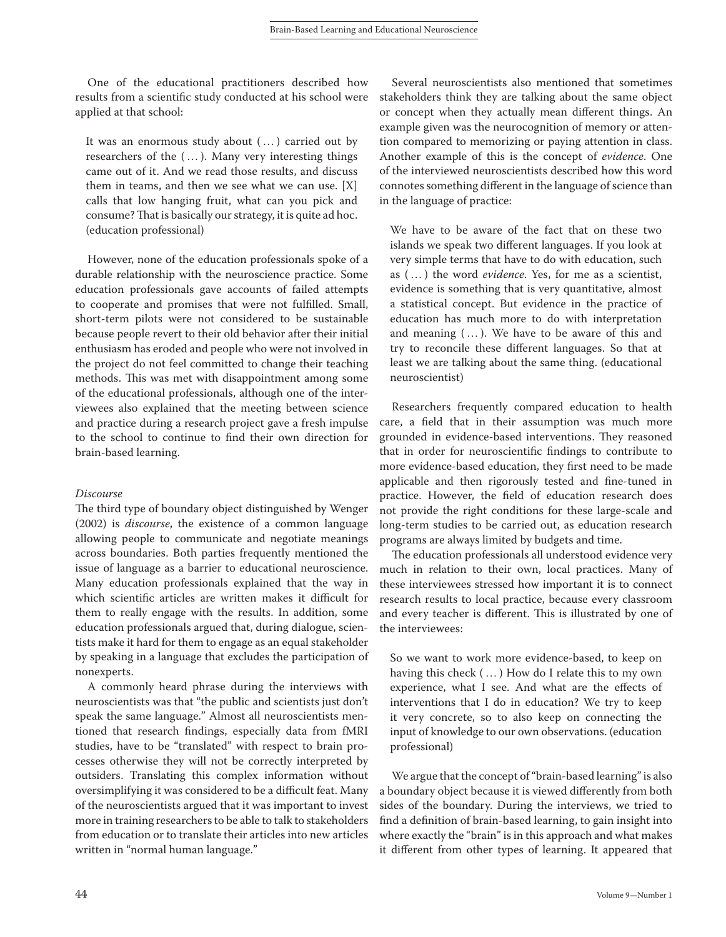One of the educational practitioners described how results from a scientific study conducted at his school were applied at that school:

It was an enormous study about (…) carried out by researchers of the (…). Many very interesting things came out of it. And we read those results, and discuss them in teams, and then we see what we can use. [X] calls that low hanging fruit, what can you pick and consume?That is basically our strategy, it is quite ad hoc. (education professional)

However, none of the education professionals spoke of a durable relationship with the neuroscience practice. Some education professionals gave accounts of failed attempts to cooperate and promises that were not fulfilled. Small, short-term pilots were not considered to be sustainable because people revert to their old behavior after their initial enthusiasm has eroded and people who were not involved in the project do not feel committed to change their teaching methods. This was met with disappointment among some of the educational professionals, although one of the interviewees also explained that the meeting between science and practice during a research project gave a fresh impulse to the school to continue to find their own direction for brain-based learning.

### *Discourse*

The third type of boundary object distinguished by Wenger (2002) is *discourse*, the existence of a common language allowing people to communicate and negotiate meanings across boundaries. Both parties frequently mentioned the issue of language as a barrier to educational neuroscience. Many education professionals explained that the way in which scientific articles are written makes it difficult for them to really engage with the results. In addition, some education professionals argued that, during dialogue, scientists make it hard for them to engage as an equal stakeholder by speaking in a language that excludes the participation of nonexperts.

A commonly heard phrase during the interviews with neuroscientists was that "the public and scientists just don't speak the same language." Almost all neuroscientists mentioned that research findings, especially data from fMRI studies, have to be "translated" with respect to brain processes otherwise they will not be correctly interpreted by outsiders. Translating this complex information without oversimplifying it was considered to be a difficult feat. Many of the neuroscientists argued that it was important to invest more in training researchers to be able to talk to stakeholders from education or to translate their articles into new articles written in "normal human language."

Several neuroscientists also mentioned that sometimes stakeholders think they are talking about the same object or concept when they actually mean different things. An example given was the neurocognition of memory or attention compared to memorizing or paying attention in class. Another example of this is the concept of *evidence*. One of the interviewed neuroscientists described how this word connotes something different in the language of science than in the language of practice:

We have to be aware of the fact that on these two islands we speak two different languages. If you look at very simple terms that have to do with education, such as (…) the word *evidence*. Yes, for me as a scientist, evidence is something that is very quantitative, almost a statistical concept. But evidence in the practice of education has much more to do with interpretation and meaning (…). We have to be aware of this and try to reconcile these different languages. So that at least we are talking about the same thing. (educational neuroscientist)

Researchers frequently compared education to health care, a field that in their assumption was much more grounded in evidence-based interventions. They reasoned that in order for neuroscientific findings to contribute to more evidence-based education, they first need to be made applicable and then rigorously tested and fine-tuned in practice. However, the field of education research does not provide the right conditions for these large-scale and long-term studies to be carried out, as education research programs are always limited by budgets and time.

The education professionals all understood evidence very much in relation to their own, local practices. Many of these interviewees stressed how important it is to connect research results to local practice, because every classroom and every teacher is different. This is illustrated by one of the interviewees:

So we want to work more evidence-based, to keep on having this check (…) How do I relate this to my own experience, what I see. And what are the effects of interventions that I do in education? We try to keep it very concrete, so to also keep on connecting the input of knowledge to our own observations. (education professional)

We argue that the concept of "brain-based learning" is also a boundary object because it is viewed differently from both sides of the boundary. During the interviews, we tried to find a definition of brain-based learning, to gain insight into where exactly the "brain" is in this approach and what makes it different from other types of learning. It appeared that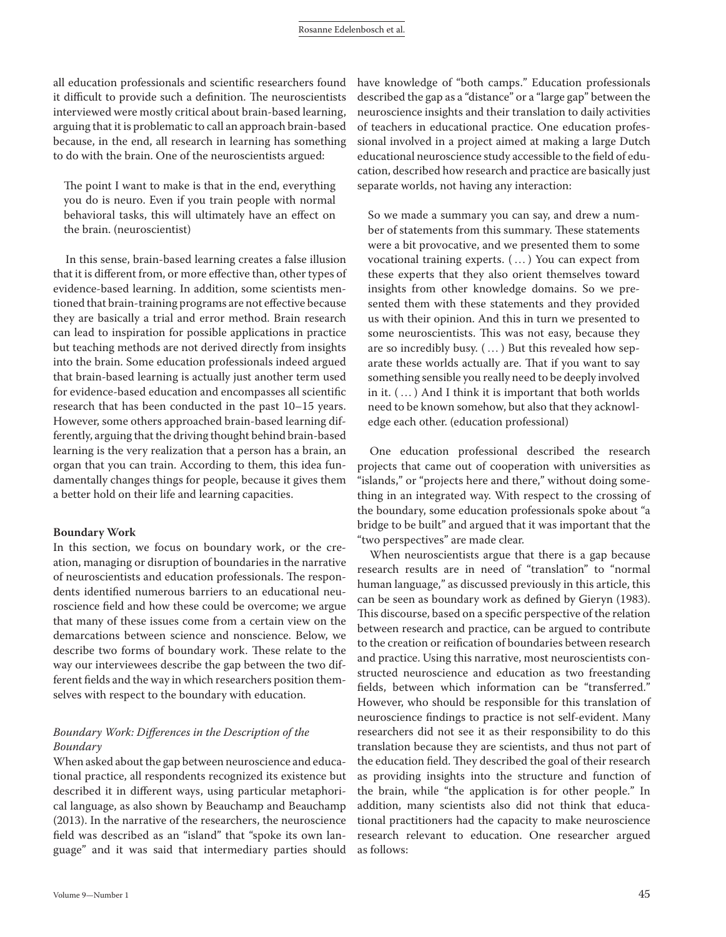all education professionals and scientific researchers found it difficult to provide such a definition. The neuroscientists interviewed were mostly critical about brain-based learning, arguing that it is problematic to call an approach brain-based because, in the end, all research in learning has something to do with the brain. One of the neuroscientists argued:

The point I want to make is that in the end, everything you do is neuro. Even if you train people with normal behavioral tasks, this will ultimately have an effect on the brain. (neuroscientist)

In this sense, brain-based learning creates a false illusion that it is different from, or more effective than, other types of evidence-based learning. In addition, some scientists mentioned that brain-training programs are not effective because they are basically a trial and error method. Brain research can lead to inspiration for possible applications in practice but teaching methods are not derived directly from insights into the brain. Some education professionals indeed argued that brain-based learning is actually just another term used for evidence-based education and encompasses all scientific research that has been conducted in the past 10–15 years. However, some others approached brain-based learning differently, arguing that the driving thought behind brain-based learning is the very realization that a person has a brain, an organ that you can train. According to them, this idea fundamentally changes things for people, because it gives them a better hold on their life and learning capacities.

## **Boundary Work**

In this section, we focus on boundary work, or the creation, managing or disruption of boundaries in the narrative of neuroscientists and education professionals. The respondents identified numerous barriers to an educational neuroscience field and how these could be overcome; we argue that many of these issues come from a certain view on the demarcations between science and nonscience. Below, we describe two forms of boundary work. These relate to the way our interviewees describe the gap between the two different fields and the way in which researchers position themselves with respect to the boundary with education.

# *Boundary Work: Differences in the Description of the Boundary*

When asked about the gap between neuroscience and educational practice, all respondents recognized its existence but described it in different ways, using particular metaphorical language, as also shown by Beauchamp and Beauchamp (2013). In the narrative of the researchers, the neuroscience field was described as an "island" that "spoke its own language" and it was said that intermediary parties should have knowledge of "both camps." Education professionals described the gap as a "distance" or a "large gap" between the neuroscience insights and their translation to daily activities of teachers in educational practice. One education professional involved in a project aimed at making a large Dutch educational neuroscience study accessible to the field of education, described how research and practice are basically just separate worlds, not having any interaction:

So we made a summary you can say, and drew a number of statements from this summary. These statements were a bit provocative, and we presented them to some vocational training experts. (…) You can expect from these experts that they also orient themselves toward insights from other knowledge domains. So we presented them with these statements and they provided us with their opinion. And this in turn we presented to some neuroscientists. This was not easy, because they are so incredibly busy. ( …) But this revealed how separate these worlds actually are. That if you want to say something sensible you really need to be deeply involved in it. (…) And I think it is important that both worlds need to be known somehow, but also that they acknowledge each other. (education professional)

One education professional described the research projects that came out of cooperation with universities as "islands," or "projects here and there," without doing something in an integrated way. With respect to the crossing of the boundary, some education professionals spoke about "a bridge to be built" and argued that it was important that the "two perspectives" are made clear.

When neuroscientists argue that there is a gap because research results are in need of "translation" to "normal human language," as discussed previously in this article, this can be seen as boundary work as defined by Gieryn (1983). This discourse, based on a specific perspective of the relation between research and practice, can be argued to contribute to the creation or reification of boundaries between research and practice. Using this narrative, most neuroscientists constructed neuroscience and education as two freestanding fields, between which information can be "transferred." However, who should be responsible for this translation of neuroscience findings to practice is not self-evident. Many researchers did not see it as their responsibility to do this translation because they are scientists, and thus not part of the education field. They described the goal of their research as providing insights into the structure and function of the brain, while "the application is for other people." In addition, many scientists also did not think that educational practitioners had the capacity to make neuroscience research relevant to education. One researcher argued as follows: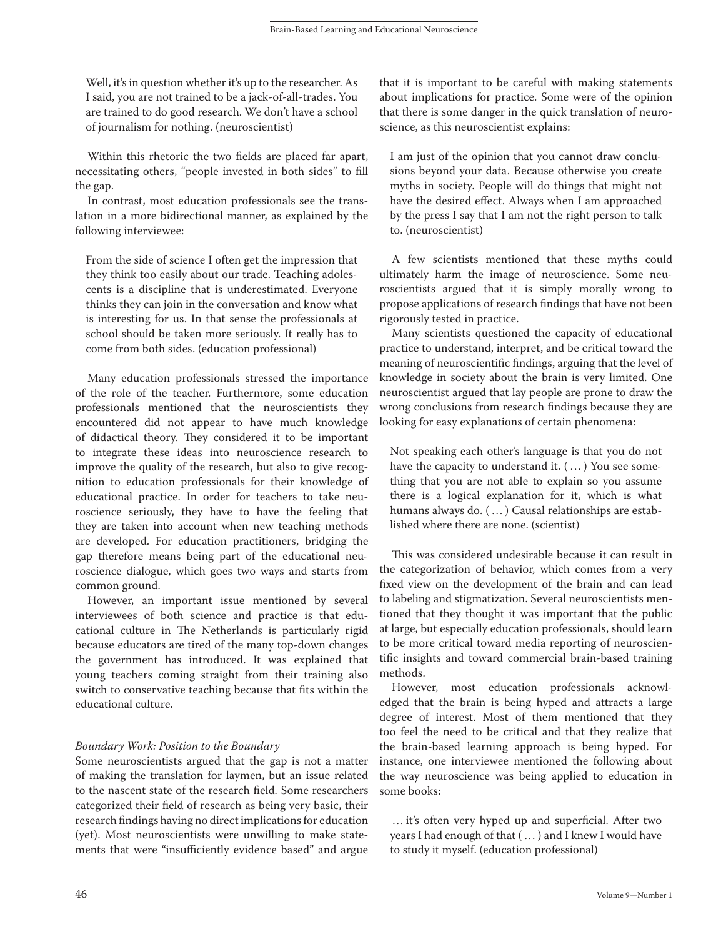Well, it's in question whether it's up to the researcher. As I said, you are not trained to be a jack-of-all-trades. You are trained to do good research. We don't have a school of journalism for nothing. (neuroscientist)

Within this rhetoric the two fields are placed far apart, necessitating others, "people invested in both sides" to fill the gap.

In contrast, most education professionals see the translation in a more bidirectional manner, as explained by the following interviewee:

From the side of science I often get the impression that they think too easily about our trade. Teaching adolescents is a discipline that is underestimated. Everyone thinks they can join in the conversation and know what is interesting for us. In that sense the professionals at school should be taken more seriously. It really has to come from both sides. (education professional)

Many education professionals stressed the importance of the role of the teacher. Furthermore, some education professionals mentioned that the neuroscientists they encountered did not appear to have much knowledge of didactical theory. They considered it to be important to integrate these ideas into neuroscience research to improve the quality of the research, but also to give recognition to education professionals for their knowledge of educational practice. In order for teachers to take neuroscience seriously, they have to have the feeling that they are taken into account when new teaching methods are developed. For education practitioners, bridging the gap therefore means being part of the educational neuroscience dialogue, which goes two ways and starts from common ground.

However, an important issue mentioned by several interviewees of both science and practice is that educational culture in The Netherlands is particularly rigid because educators are tired of the many top-down changes the government has introduced. It was explained that young teachers coming straight from their training also switch to conservative teaching because that fits within the educational culture.

#### *Boundary Work: Position to the Boundary*

Some neuroscientists argued that the gap is not a matter of making the translation for laymen, but an issue related to the nascent state of the research field. Some researchers categorized their field of research as being very basic, their research findings having no direct implications for education (yet). Most neuroscientists were unwilling to make statements that were "insufficiently evidence based" and argue that it is important to be careful with making statements about implications for practice. Some were of the opinion that there is some danger in the quick translation of neuroscience, as this neuroscientist explains:

I am just of the opinion that you cannot draw conclusions beyond your data. Because otherwise you create myths in society. People will do things that might not have the desired effect. Always when I am approached by the press I say that I am not the right person to talk to. (neuroscientist)

A few scientists mentioned that these myths could ultimately harm the image of neuroscience. Some neuroscientists argued that it is simply morally wrong to propose applications of research findings that have not been rigorously tested in practice.

Many scientists questioned the capacity of educational practice to understand, interpret, and be critical toward the meaning of neuroscientific findings, arguing that the level of knowledge in society about the brain is very limited. One neuroscientist argued that lay people are prone to draw the wrong conclusions from research findings because they are looking for easy explanations of certain phenomena:

Not speaking each other's language is that you do not have the capacity to understand it. ( …) You see something that you are not able to explain so you assume there is a logical explanation for it, which is what humans always do. (…) Causal relationships are established where there are none. (scientist)

This was considered undesirable because it can result in the categorization of behavior, which comes from a very fixed view on the development of the brain and can lead to labeling and stigmatization. Several neuroscientists mentioned that they thought it was important that the public at large, but especially education professionals, should learn to be more critical toward media reporting of neuroscientific insights and toward commercial brain-based training methods.

However, most education professionals acknowledged that the brain is being hyped and attracts a large degree of interest. Most of them mentioned that they too feel the need to be critical and that they realize that the brain-based learning approach is being hyped. For instance, one interviewee mentioned the following about the way neuroscience was being applied to education in some books:

…it's often very hyped up and superficial. After two years I had enough of that ( …) and I knew I would have to study it myself. (education professional)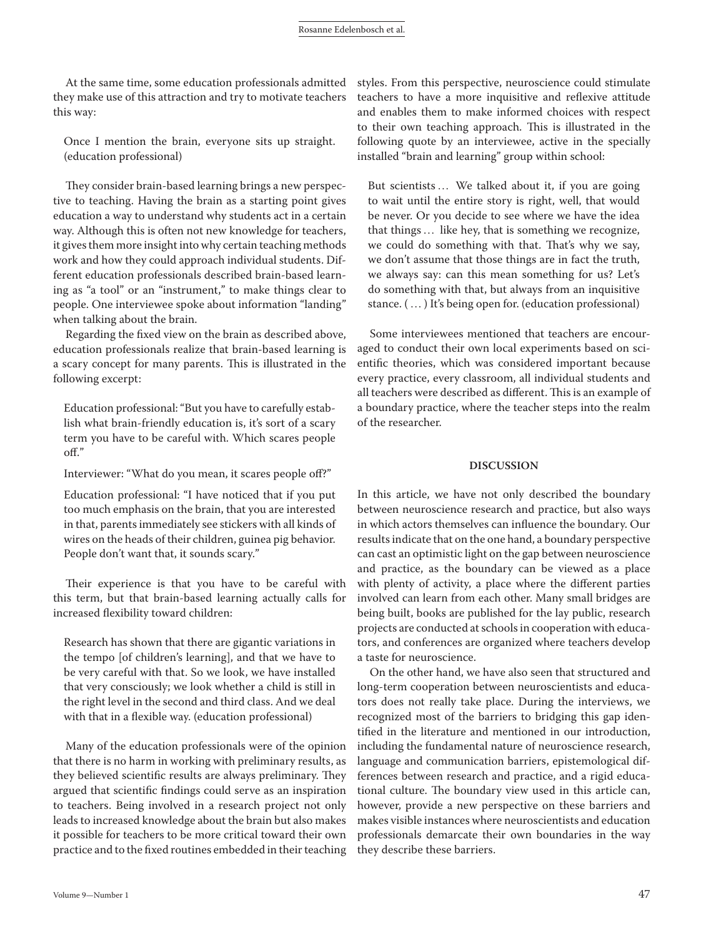At the same time, some education professionals admitted they make use of this attraction and try to motivate teachers this way:

Once I mention the brain, everyone sits up straight. (education professional)

They consider brain-based learning brings a new perspective to teaching. Having the brain as a starting point gives education a way to understand why students act in a certain way. Although this is often not new knowledge for teachers, it gives them more insight into why certain teaching methods work and how they could approach individual students. Different education professionals described brain-based learning as "a tool" or an "instrument," to make things clear to people. One interviewee spoke about information "landing" when talking about the brain.

Regarding the fixed view on the brain as described above, education professionals realize that brain-based learning is a scary concept for many parents. This is illustrated in the following excerpt:

Education professional: "But you have to carefully establish what brain-friendly education is, it's sort of a scary term you have to be careful with. Which scares people off."

Interviewer: "What do you mean, it scares people off?"

Education professional: "I have noticed that if you put too much emphasis on the brain, that you are interested in that, parents immediately see stickers with all kinds of wires on the heads of their children, guinea pig behavior. People don't want that, it sounds scary."

Their experience is that you have to be careful with this term, but that brain-based learning actually calls for increased flexibility toward children:

Research has shown that there are gigantic variations in the tempo [of children's learning], and that we have to be very careful with that. So we look, we have installed that very consciously; we look whether a child is still in the right level in the second and third class. And we deal with that in a flexible way. (education professional)

Many of the education professionals were of the opinion that there is no harm in working with preliminary results, as they believed scientific results are always preliminary. They argued that scientific findings could serve as an inspiration to teachers. Being involved in a research project not only leads to increased knowledge about the brain but also makes it possible for teachers to be more critical toward their own practice and to the fixed routines embedded in their teaching styles. From this perspective, neuroscience could stimulate teachers to have a more inquisitive and reflexive attitude and enables them to make informed choices with respect to their own teaching approach. This is illustrated in the following quote by an interviewee, active in the specially installed "brain and learning" group within school:

But scientists … We talked about it, if you are going to wait until the entire story is right, well, that would be never. Or you decide to see where we have the idea that things… like hey, that is something we recognize, we could do something with that. That's why we say, we don't assume that those things are in fact the truth, we always say: can this mean something for us? Let's do something with that, but always from an inquisitive stance. (…) It's being open for. (education professional)

Some interviewees mentioned that teachers are encouraged to conduct their own local experiments based on scientific theories, which was considered important because every practice, every classroom, all individual students and all teachers were described as different. This is an example of a boundary practice, where the teacher steps into the realm of the researcher.

#### **DISCUSSION**

In this article, we have not only described the boundary between neuroscience research and practice, but also ways in which actors themselves can influence the boundary. Our results indicate that on the one hand, a boundary perspective can cast an optimistic light on the gap between neuroscience and practice, as the boundary can be viewed as a place with plenty of activity, a place where the different parties involved can learn from each other. Many small bridges are being built, books are published for the lay public, research projects are conducted at schools in cooperation with educators, and conferences are organized where teachers develop a taste for neuroscience.

On the other hand, we have also seen that structured and long-term cooperation between neuroscientists and educators does not really take place. During the interviews, we recognized most of the barriers to bridging this gap identified in the literature and mentioned in our introduction, including the fundamental nature of neuroscience research, language and communication barriers, epistemological differences between research and practice, and a rigid educational culture. The boundary view used in this article can, however, provide a new perspective on these barriers and makes visible instances where neuroscientists and education professionals demarcate their own boundaries in the way they describe these barriers.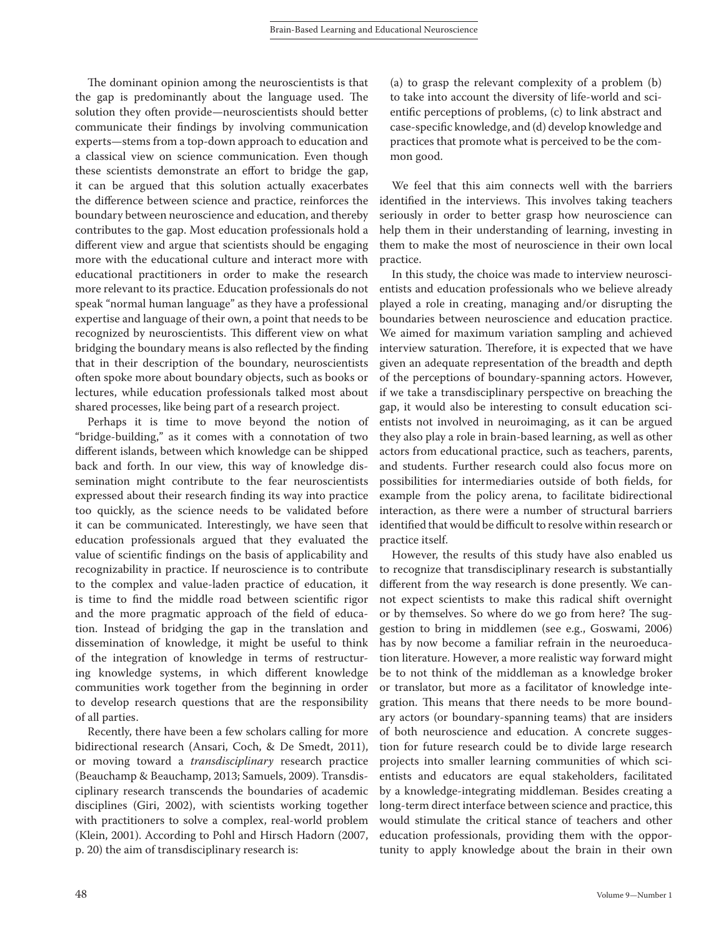The dominant opinion among the neuroscientists is that the gap is predominantly about the language used. The solution they often provide—neuroscientists should better communicate their findings by involving communication experts—stems from a top-down approach to education and a classical view on science communication. Even though these scientists demonstrate an effort to bridge the gap, it can be argued that this solution actually exacerbates the difference between science and practice, reinforces the boundary between neuroscience and education, and thereby contributes to the gap. Most education professionals hold a different view and argue that scientists should be engaging more with the educational culture and interact more with educational practitioners in order to make the research more relevant to its practice. Education professionals do not speak "normal human language" as they have a professional expertise and language of their own, a point that needs to be recognized by neuroscientists. This different view on what bridging the boundary means is also reflected by the finding that in their description of the boundary, neuroscientists often spoke more about boundary objects, such as books or lectures, while education professionals talked most about shared processes, like being part of a research project.

Perhaps it is time to move beyond the notion of "bridge-building," as it comes with a connotation of two different islands, between which knowledge can be shipped back and forth. In our view, this way of knowledge dissemination might contribute to the fear neuroscientists expressed about their research finding its way into practice too quickly, as the science needs to be validated before it can be communicated. Interestingly, we have seen that education professionals argued that they evaluated the value of scientific findings on the basis of applicability and recognizability in practice. If neuroscience is to contribute to the complex and value-laden practice of education, it is time to find the middle road between scientific rigor and the more pragmatic approach of the field of education. Instead of bridging the gap in the translation and dissemination of knowledge, it might be useful to think of the integration of knowledge in terms of restructuring knowledge systems, in which different knowledge communities work together from the beginning in order to develop research questions that are the responsibility of all parties.

Recently, there have been a few scholars calling for more bidirectional research (Ansari, Coch, & De Smedt, 2011), or moving toward a *transdisciplinary* research practice (Beauchamp & Beauchamp, 2013; Samuels, 2009). Transdisciplinary research transcends the boundaries of academic disciplines (Giri, 2002), with scientists working together with practitioners to solve a complex, real-world problem (Klein, 2001). According to Pohl and Hirsch Hadorn (2007, p. 20) the aim of transdisciplinary research is:

(a) to grasp the relevant complexity of a problem (b) to take into account the diversity of life-world and scientific perceptions of problems, (c) to link abstract and case-specific knowledge, and (d) develop knowledge and practices that promote what is perceived to be the common good.

We feel that this aim connects well with the barriers identified in the interviews. This involves taking teachers seriously in order to better grasp how neuroscience can help them in their understanding of learning, investing in them to make the most of neuroscience in their own local practice.

In this study, the choice was made to interview neuroscientists and education professionals who we believe already played a role in creating, managing and/or disrupting the boundaries between neuroscience and education practice. We aimed for maximum variation sampling and achieved interview saturation. Therefore, it is expected that we have given an adequate representation of the breadth and depth of the perceptions of boundary-spanning actors. However, if we take a transdisciplinary perspective on breaching the gap, it would also be interesting to consult education scientists not involved in neuroimaging, as it can be argued they also play a role in brain-based learning, as well as other actors from educational practice, such as teachers, parents, and students. Further research could also focus more on possibilities for intermediaries outside of both fields, for example from the policy arena, to facilitate bidirectional interaction, as there were a number of structural barriers identified that would be difficult to resolve within research or practice itself.

However, the results of this study have also enabled us to recognize that transdisciplinary research is substantially different from the way research is done presently. We cannot expect scientists to make this radical shift overnight or by themselves. So where do we go from here? The suggestion to bring in middlemen (see e.g., Goswami, 2006) has by now become a familiar refrain in the neuroeducation literature. However, a more realistic way forward might be to not think of the middleman as a knowledge broker or translator, but more as a facilitator of knowledge integration. This means that there needs to be more boundary actors (or boundary-spanning teams) that are insiders of both neuroscience and education. A concrete suggestion for future research could be to divide large research projects into smaller learning communities of which scientists and educators are equal stakeholders, facilitated by a knowledge-integrating middleman. Besides creating a long-term direct interface between science and practice, this would stimulate the critical stance of teachers and other education professionals, providing them with the opportunity to apply knowledge about the brain in their own